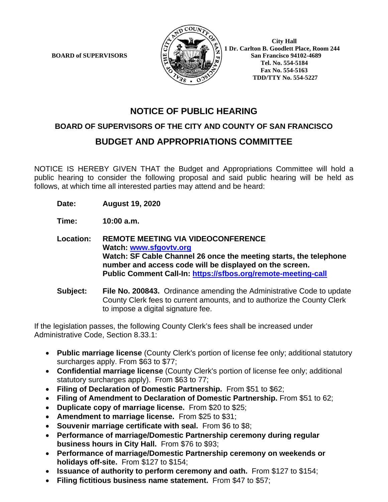

 **1 Dr. Carlton B. Goodlett Place, Room 244 BOARD of SUPERVISORS**  $\left[\frac{\omega}{2} \right]$   $\left[\frac{\omega}{2} \right]$  San Francisco 94102-4689  **Tel. No. 554-5184 Fax No. 554-5163 TDD/TTY No. 554-5227**

# **NOTICE OF PUBLIC HEARING**

## **BOARD OF SUPERVISORS OF THE CITY AND COUNTY OF SAN FRANCISCO**

# **BUDGET AND APPROPRIATIONS COMMITTEE**

NOTICE IS HEREBY GIVEN THAT the Budget and Appropriations Committee will hold a public hearing to consider the following proposal and said public hearing will be held as follows, at which time all interested parties may attend and be heard:

**Date: August 19, 2020**

**Time: 10:00 a.m.**

- **Location: REMOTE MEETING VIA VIDEOCONFERENCE Watch: www.sfgovtv.org Watch: SF Cable Channel 26 once the meeting starts, the telephone number and access code will be displayed on the screen. Public Comment Call-In: https://sfbos.org/remote-meeting-call**
- **Subject: File No. 200843.** Ordinance amending the Administrative Code to update County Clerk fees to current amounts, and to authorize the County Clerk to impose a digital signature fee.

If the legislation passes, the following County Clerk's fees shall be increased under Administrative Code, Section 8.33.1:

- **Public marriage license** (County Clerk's portion of license fee only; additional statutory surcharges apply. From \$63 to \$77;
- **Confidential marriage license** (County Clerk's portion of license fee only; additional statutory surcharges apply). From \$63 to 77;
- **Filing of Declaration of Domestic Partnership.** From \$51 to \$62;
- **Filing of Amendment to Declaration of Domestic Partnership.** From \$51 to 62;
- **Duplicate copy of marriage license.** From \$20 to \$25;
- **Amendment to marriage license.** From \$25 to \$31;
- **Souvenir marriage certificate with seal.** From \$6 to \$8;
- **Performance of marriage/Domestic Partnership ceremony during regular business hours in City Hall.** From \$76 to \$93;
- **Performance of marriage/Domestic Partnership ceremony on weekends or holidays off-site.** From \$127 to \$154;
- **Issuance of authority to perform ceremony and oath.** From \$127 to \$154;
- **Filing fictitious business name statement.** From \$47 to \$57;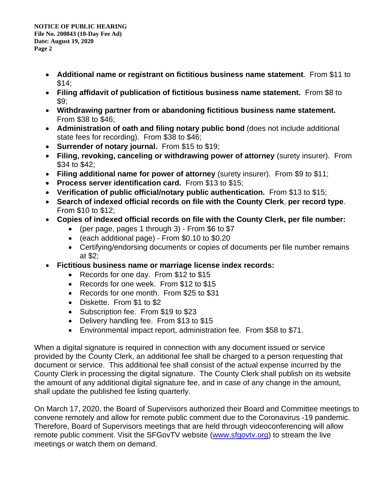- **Additional name or registrant on fictitious business name statement**. From \$11 to  $$14$ ;
- **Filing affidavit of publication of fictitious business name statement.** From \$8 to  $\$9:$
- **Withdrawing partner from or abandoning fictitious business name statement.**  From \$38 to \$46;
- **Administration of oath and filing notary public bond** (does not include additional state fees for recording). From \$38 to \$46;
- **Surrender of notary journal.** From \$15 to \$19;
- **Filing, revoking, canceling or withdrawing power of attorney** (surety insurer). From \$34 to \$42;
- **Filing additional name for power of attorney** (surety insurer). From \$9 to \$11;
- **Process server identification card.** From \$13 to \$15;
- **Verification of public official/notary public authentication.** From \$13 to \$15;
- **Search of indexed official records on file with the County Clerk**, **per record type**. From \$10 to \$12;
- **Copies of indexed official records on file with the County Clerk, per file number:**
	- (per page, pages 1 through 3) From \$6 to \$7
	- (each additional page) From \$0.10 to \$0.20
	- Certifying/endorsing documents or copies of documents per file number remains at \$2;
- **Fictitious business name or marriage license index records:**
	- Records for one day. From \$12 to \$15
	- Records for one week. From \$12 to \$15
	- Records for one month. From \$25 to \$31
	- Diskette. From \$1 to \$2
	- Subscription fee. From \$19 to \$23
	- Delivery handling fee. From \$13 to \$15
	- Environmental impact report, administration fee. From \$58 to \$71.

When a digital signature is required in connection with any document issued or service provided by the County Clerk, an additional fee shall be charged to a person requesting that document or service. This additional fee shall consist of the actual expense incurred by the County Clerk in processing the digital signature. The County Clerk shall publish on its website the amount of any additional digital signature fee, and in case of any change in the amount, shall update the published fee listing quarterly.

On March 17, 2020, the Board of Supervisors authorized their Board and Committee meetings to convene remotely and allow for remote public comment due to the Coronavirus -19 pandemic. Therefore, Board of Supervisors meetings that are held through videoconferencing will allow remote public comment. Visit the SFGovTV website (www.sfgovtv.org) to stream the live meetings or watch them on demand.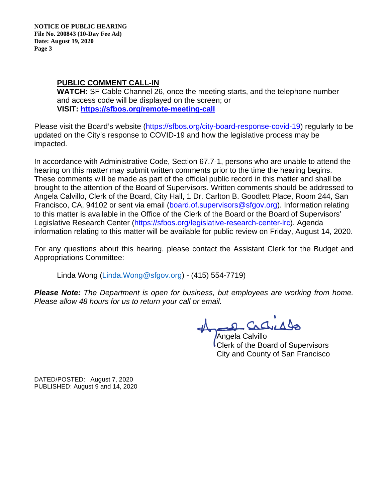**NOTICE OF PUBLIC HEARING File No. 200843 (10-Day Fee Ad) Date: August 19, 2020 Page 3** 

### **PUBLIC COMMENT CALL-IN**

**WATCH:** SF Cable Channel 26, once the meeting starts, and the telephone number and access code will be displayed on the screen; or **VISIT: https://sfbos.org/remote-meeting-call** 

Please visit the Board's website (https://sfbos.org/city-board-response-covid-19) regularly to be updated on the City's response to COVID-19 and how the legislative process may be impacted.

In accordance with Administrative Code, Section 67.7-1, persons who are unable to attend the hearing on this matter may submit written comments prior to the time the hearing begins. These comments will be made as part of the official public record in this matter and shall be brought to the attention of the Board of Supervisors. Written comments should be addressed to Angela Calvillo, Clerk of the Board, City Hall, 1 Dr. Carlton B. Goodlett Place, Room 244, San Francisco, CA, 94102 or sent via email (board.of.supervisors@sfgov.org). Information relating to this matter is available in the Office of the Clerk of the Board or the Board of Supervisors' Legislative Research Center (https://sfbos.org/legislative-research-center-lrc). Agenda information relating to this matter will be available for public review on Friday, August 14, 2020.

For any questions about this hearing, please contact the Assistant Clerk for the Budget and Appropriations Committee:

Linda Wong (Linda.Wong@sfgov.org) - (415) 554-7719)

*Please Note: The Department is open for business, but employees are working from home. Please allow 48 hours for us to return your call or email.* 

2 Cachedes

Angela Calvillo Clerk of the Board of Supervisors City and County of San Francisco

DATED/POSTED: August 7, 2020 PUBLISHED: August 9 and 14, 2020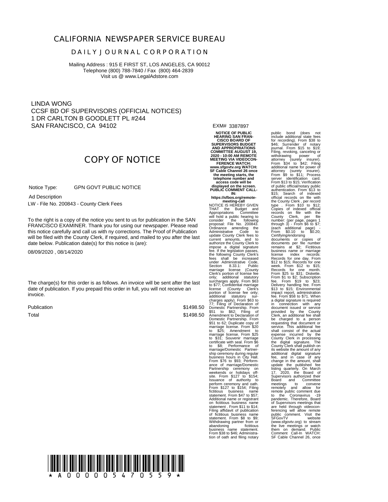### **CALIFORNIA NEWSPAPER SERVICE BUREAU**

#### **D A I L Y J O U R N A L C O R P O R A T I O N**

Mailing Address : 915 E FIRST ST, LOS ANGELES, CA 90012 Telephone (800) 788-7840 / Fax (800) 464-2839 Visit us @ www.LegalAdstore.com

LINDA WONG CCSF BD OF SUPERVISORS (OFFICIAL NOTICES) 1 DR CARLTON B GOODLETT PL #244 SAN FRANCISCO, CA 94102

## **COPY OF NOTICE**

 GPN GOVT PUBLIC NOTICE Notice Type:

 LW - File No. 200843 - County Clerk Fees Ad Description

FRANCISCO EXAMINER. Thank you for using our newspaper. Please read<br>this notice carefully and call us with ny corrections. The Proof of Publication To the right is a copy of the notice you sent to us for publication in the SAN FRANCISCO EXAMINER. Thank you for using our newspaper. Please read will be filed with the County Clerk, if required, and mailed to you after the last date below. Publication date(s) for this notice is (are):

08/09/2020 , 08/14/2020

The charge(s) for this order is as follows. An invoice will be sent after the last date of publication. If you prepaid this order in full, you will not receive an invoice.

Publication Total

\$1498.50 \$1498.50 EXM# 3387897

**NOTICE OF PUBLIC HEARING SAN FRAN-CISCO BOARD OF SUPERVISORS BUDGET AND APPROPRIATIONS COMMITTEE AUGUST 19, 2020 - 10:00 AM REMOTE MEETING VIA VIDEOCON-FERENCE WATCH: www.sfgovtv.org WATCH: SF Cable Channel 26 once** the meeting starts, the<br>telephone number and<br>access code will be<br>displayed on the screen.<br>PUBLIC COMMENT CALL-

**IN: https://sfbos.org/remotemeeting-call**<br>NOTICE IS HEREBY GIVEN NOTICE IS HEREBY GIVEN<br>THAT the Budget and<br>Appropriations Committee<br>Appropriations Committee<br>consider the following to<br>consider the following the<br>Dotininance amending the<br>Administrative Code to<br>current amounts, and to<br>curr Section 8.33.1: Public Section<br>marriage license (County<br>Clerk's portion of license fee<br>only: additional statutory only; additional statutory surcharges apply. From \$63 to \$77; Confidential marriage<br>license (County Clerks ending the<br>proton of license fearbly;<br>additional statutory surface<br>conduction of license fearters in the state of the state partners<br>in the state parametric Declaration

perform ceremony and oath. From \$127 to \$154; Filing fictitious business name statement. From \$47 to \$57; Additional name or registrant on fictitious business name<br>statement . From \$11 to \$14;<br>Filing affidavit of publication<br>of fictitious business name<br>statement. From \$8 to \$9;<br>Withdrawing partner from or abandoning fictitious business name statement. From \$38 to \$46; Administra-tion of oath and filing notary

public bond (does not<br>include additional state fees include additional state fees<br>for recording). From \$38 to<br>\$46; Surrender of notary<br>Filing, revoking, canceling or<br>Filing, revoking, canceling or<br>withdrawing ower of<br>withdrawing bower of<br>From \$34 to \$42; Filing<br>additional n server identification card.<br>From \$13 to \$15; Verification<br>of public official/notary public<br>authentication. From \$13 to<br>\$15; Search of indexed<br>the County Clerk, per record<br>the County Clerk, per record<br>Copies of indexed offi through 3) - From \$6 to \$7; (each additional page) - From \$0.10 to \$0.20; Certifying/endorsing documents or copies of documents per file number remains at \$2; Fictitious business name or marriage license index records: Records for one day. From \$12 to \$15; Records for one week. From \$12 to \$15; Records for one month. From \$25 to \$31; Diskette. From \$1 to \$2; Subscription fee. From \$19 to \$23; Delivery handling fee. From 588 to \$15, Environmentimpact report, administration<br>sails and \$15; Environmentimpact report, administration<br>a digital signature is required<br>a digital signature is required<br>a digital signature i the live meetings or watch them on demand. Public Comment Call-In WATCH: SF Cable Channel 26, once